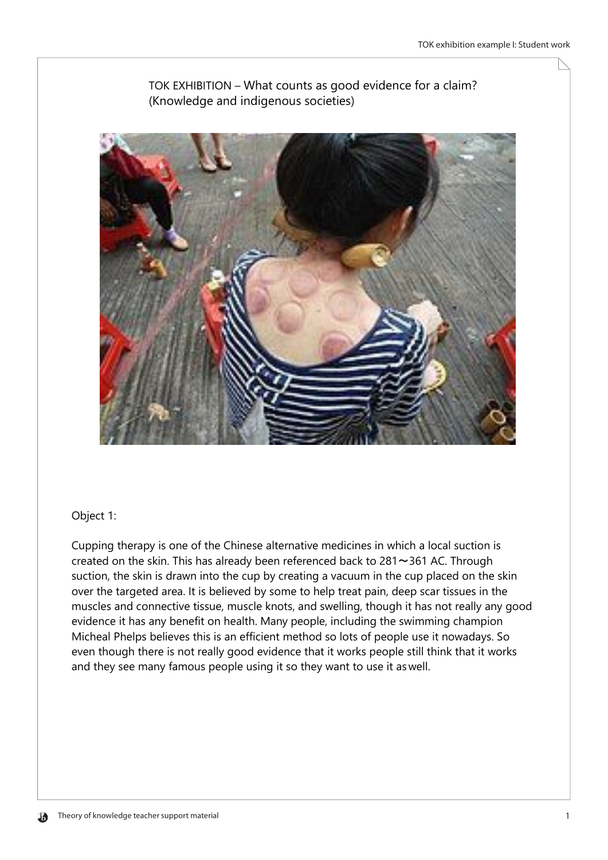

TOK EXHIBITION - What counts as good evidence for a claim? (Knowledge and indigenous societies)

## Object 1:

Cupping therapy is one of the Chinese alternative medicines in which a local suction is created on the skin. This has already been referenced back to 281~361 AC. Through suction, the skin is drawn into the cup by creating a vacuum in the cup placed on the skin over the targeted area. It is believed by some to help treat pain, deep scar tissues in the muscles and connective tissue, muscle knots, and swelling, though it has not really any good evidence it has any benefit on health. Many people, including the swimming champion Micheal Phelps believes this is an efficient method so lots of people use it nowadays. So even though there is not really good evidence that it works people still think that it works and they see many famous people using it so they want to use it as well.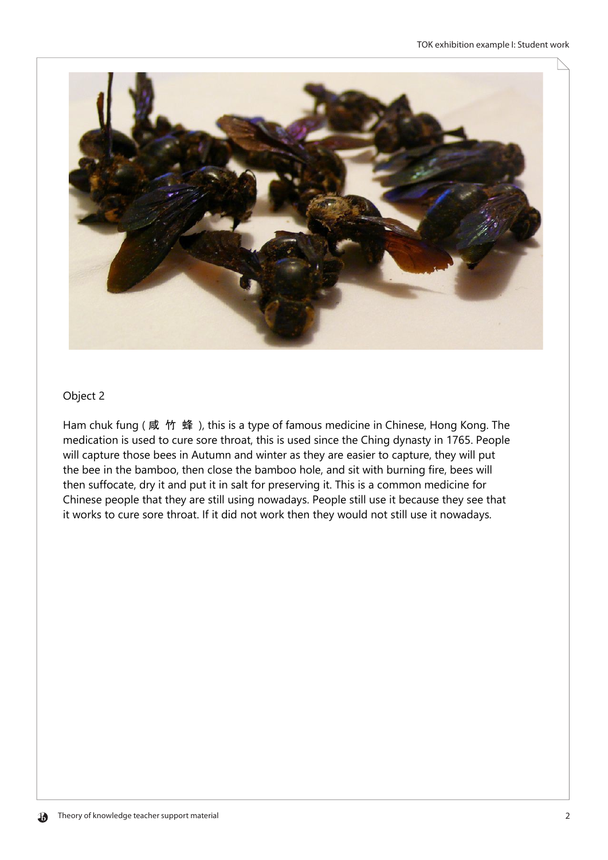

## Object 2

Ham chuk fung (咸 竹 蜂), this is a type of famous medicine in Chinese, Hong Kong. The medication is used to cure sore throat, this is used since the Ching dynasty in 1765. People will capture those bees in Autumn and winter as they are easier to capture, they will put the bee in the bamboo, then close the bamboo hole, and sit with burning fire, bees will then suffocate, dry it and put it in salt for preserving it. This is a common medicine for Chinese people that they are still using nowadays. People still use it because they see that it works to cure sore throat. If it did not work then they would not still use it nowadays.